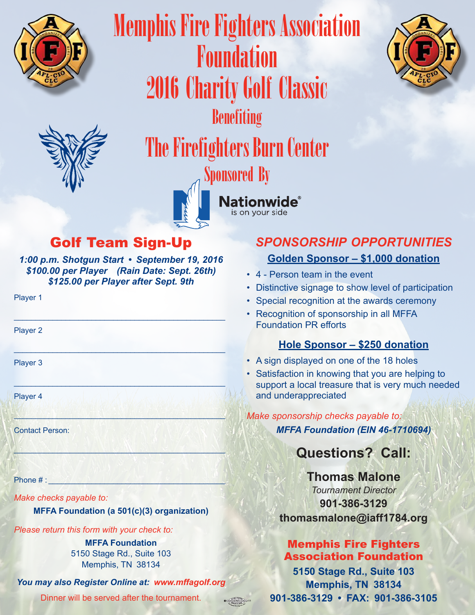



Benefiting

2016 Charity Golf Classic

Memphis Fire Fighters Association

Foundation



# The Firefighters Burn Center



is on your side

# Golf Team Sign-Up

*1:00 p.m. Shotgun Start • September 19, 2016 \$100.00 per Player (Rain Date: Sept. 26th) \$125.00 per Player after Sept. 9th*

\_\_\_\_\_\_\_\_\_\_\_\_\_\_\_\_\_\_\_\_\_\_\_\_\_\_\_\_\_\_\_\_\_\_\_\_\_\_\_\_\_\_\_\_\_\_\_\_\_

 $\Box$  , where  $\Box$  , we have a set of  $\Box$  , we have a set of  $\Box$ 

 $\frac{1}{2}$  ,  $\frac{1}{2}$  ,  $\frac{1}{2}$  ,  $\frac{1}{2}$  ,  $\frac{1}{2}$  ,  $\frac{1}{2}$  ,  $\frac{1}{2}$  ,  $\frac{1}{2}$  ,  $\frac{1}{2}$  ,  $\frac{1}{2}$  ,  $\frac{1}{2}$  ,  $\frac{1}{2}$  ,  $\frac{1}{2}$  ,  $\frac{1}{2}$  ,  $\frac{1}{2}$  ,  $\frac{1}{2}$  ,  $\frac{1}{2}$  ,  $\frac{1}{2}$  ,  $\frac{1$ 

 $\mathbb{E}[\mathcal{A}^{\mathcal{A}}(t)]$  in the  $\mathbb{E}[\mathcal{A}^{\mathcal{A}}(t)]$  ,  $\mathbb{E}[\mathcal{A}^{\mathcal{A}}(t)]$  ,  $\mathbb{E}[\mathcal{A}^{\mathcal{A}}(t)]$  ,  $\mathbb{E}[\mathcal{A}^{\mathcal{A}}(t)]$ 

 $\mathcal{A} \colon \mathcal{L} \times \mathcal{L} \times \mathcal{L} \to \mathcal{L} \times \mathcal{L} \times \mathcal{L} \times \mathcal{L} \times \mathcal{L} \times \mathcal{L} \times \mathcal{L} \times \mathcal{L} \times \mathcal{L} \times \mathcal{L} \times \mathcal{L} \times \mathcal{L} \times \mathcal{L} \times \mathcal{L} \times \mathcal{L} \times \mathcal{L} \times \mathcal{L} \times \mathcal{L} \times \mathcal{L} \times \mathcal{L} \times \mathcal{L} \times \mathcal{L} \times \mathcal{L} \times \mathcal{$ 

Player 1

Player 2

Player 3

Player 4

**Contact Person:** 

Phone  $#$ :

*Make checks payable to:*

#### **MFFA Foundation (a 501(c)(3) organization)**

*Please return this form with your check to:*

**MFFA Foundation 5150 Stage Rd., Suite 103** Memphis, TN 38134

*You may also Register Online at: www.mffagolf.org*

Dinner will be served after the tournament.

## *SPONSORSHIP OPPORTUNITIES* **Golden Sponsor – \$1,000 donation**

- 4 Person team in the event
- Distinctive signage to show level of participation
- Special recognition at the awards ceremony
- Recognition of sponsorship in all MFFA Foundation PR efforts

#### **Hole Sponsor – \$250 donation**

- A sign displayed on one of the 18 holes
- Satisfaction in knowing that you are helping to support a local treasure that is very much needed and underappreciated

#### *Make sponsorship checks payable to:*

*MFFA Foundation (EIN 46-1710694)*

## **Questions? Call:**

### **Thomas Malone** *Tournament Director* **901-386-3129 thomasmalone@iaff1784.org**

#### Memphis Fire Fighters Association Foundation

**5150 Stage Rd., Suite 103 Memphis, TN 38134 901-386-3129 • FAX: 901-386-3105**